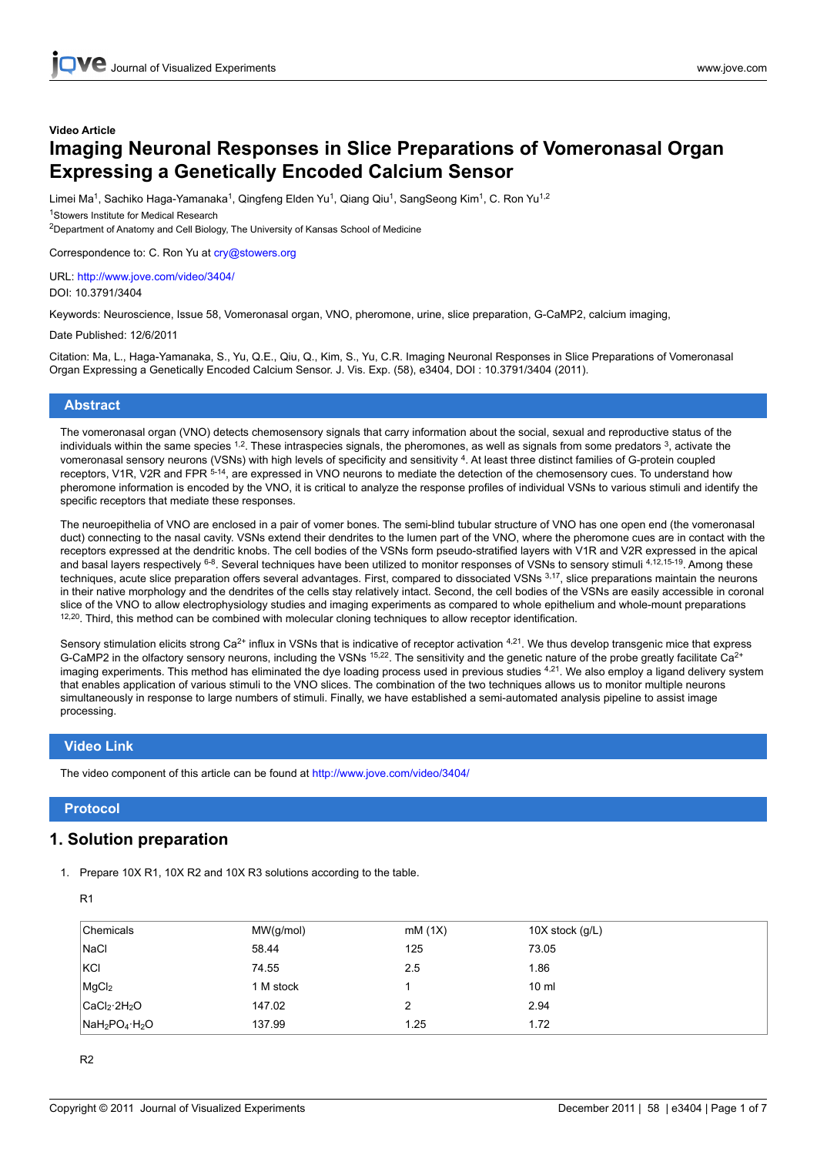# **Video Article Imaging Neuronal Responses in Slice Preparations of Vomeronasal Organ Expressing a Genetically Encoded Calcium Sensor**

Limei Ma<sup>1</sup>, Sachiko Haga-Yamanaka<sup>1</sup>, Qingfeng Elden Yu<sup>1</sup>, Qiang Qiu<sup>1</sup>, SangSeong Kim<sup>1</sup>, C. Ron Yu<sup>1,2</sup>

<sup>1</sup>Stowers Institute for Medical Research <sup>2</sup>Department of Anatomy and Cell Biology, The University of Kansas School of Medicine

Correspondence to: C. Ron Yu at cry@stowers.org

URL: <http://www.jove.com/video/3404/> DOI: 10.3791/3404

Keywords: Neuroscience, Issue 58, Vomeronasal organ, VNO, pheromone, urine, slice preparation, G-CaMP2, calcium imaging,

Date Published: 12/6/2011

Citation: Ma, L., Haga-Yamanaka, S., Yu, Q.E., Qiu, Q., Kim, S., Yu, C.R. Imaging Neuronal Responses in Slice Preparations of Vomeronasal Organ Expressing a Genetically Encoded Calcium Sensor. J. Vis. Exp. (58), e3404, DOI : 10.3791/3404 (2011).

## **Abstract**

The vomeronasal organ (VNO) detects chemosensory signals that carry information about the social, sexual and reproductive status of the individuals within the same species  $^{1,2}$ . These intraspecies signals, the pheromones, as well as signals from some predators  $^{3}$ , activate the vomeronasal sensory neurons (VSNs) with high levels of specificity and sensitivity <sup>4</sup>. At least three distinct families of G-protein coupled receptors, V1R, V2R and FPR 5-14, are expressed in VNO neurons to mediate the detection of the chemosensory cues. To understand how pheromone information is encoded by the VNO, it is critical to analyze the response profiles of individual VSNs to various stimuli and identify the specific receptors that mediate these responses.

The neuroepithelia of VNO are enclosed in a pair of vomer bones. The semi-blind tubular structure of VNO has one open end (the vomeronasal duct) connecting to the nasal cavity. VSNs extend their dendrites to the lumen part of the VNO, where the pheromone cues are in contact with the receptors expressed at the dendritic knobs. The cell bodies of the VSNs form pseudo-stratified layers with V1R and V2R expressed in the apical and basal layers respectively <sup>6-8</sup>. Several techniques have been utilized to monitor responses of VSNs to sensory stimuli <sup>4,12,15-19</sup>. Among these techniques, acute slice preparation offers several advantages. First, compared to dissociated VSNs 3,17, slice preparations maintain the neurons in their native morphology and the dendrites of the cells stay relatively intact. Second, the cell bodies of the VSNs are easily accessible in coronal slice of the VNO to allow electrophysiology studies and imaging experiments as compared to whole epithelium and whole-mount preparations <sup>12,20</sup>. Third, this method can be combined with molecular cloning techniques to allow receptor identification.

Sensory stimulation elicits strong Ca<sup>2+</sup> influx in VSNs that is indicative of receptor activation <sup>4,21</sup>. We thus develop transgenic mice that express G-CaMP2 in the olfactory sensory neurons, including the VSNs <sup>15,22</sup>. The sensitivity and the genetic nature of the probe greatly facilitate Ca<sup>2+</sup> imaging experiments. This method has eliminated the dye loading process used in previous studies <sup>4,21</sup>. We also employ a ligand delivery system that enables application of various stimuli to the VNO slices. The combination of the two techniques allows us to monitor multiple neurons simultaneously in response to large numbers of stimuli. Finally, we have established a semi-automated analysis pipeline to assist image processing.

## **Video Link**

The video component of this article can be found at <http://www.jove.com/video/3404/>

## **Protocol**

## **1. Solution preparation**

1. Prepare 10X R1, 10X R2 and 10X R3 solutions according to the table.

| ۰ |  |
|---|--|
|---|--|

| Chemicals                            | MW(g/mol) | mM(1X) | 10X stock $(g/L)$ |
|--------------------------------------|-----------|--------|-------------------|
| <b>NaCl</b>                          | 58.44     | 125    | 73.05             |
| KCI                                  | 74.55     | 2.5    | 1.86              |
| MgCl <sub>2</sub>                    | 1 M stock |        | $10 \mathrm{m}$   |
| CaCl <sub>2</sub> ·2H <sub>2</sub> O | 147.02    | 2      | 2.94              |
| $NAH_2PO_4·H_2O$                     | 137.99    | 1.25   | 1.72              |

R2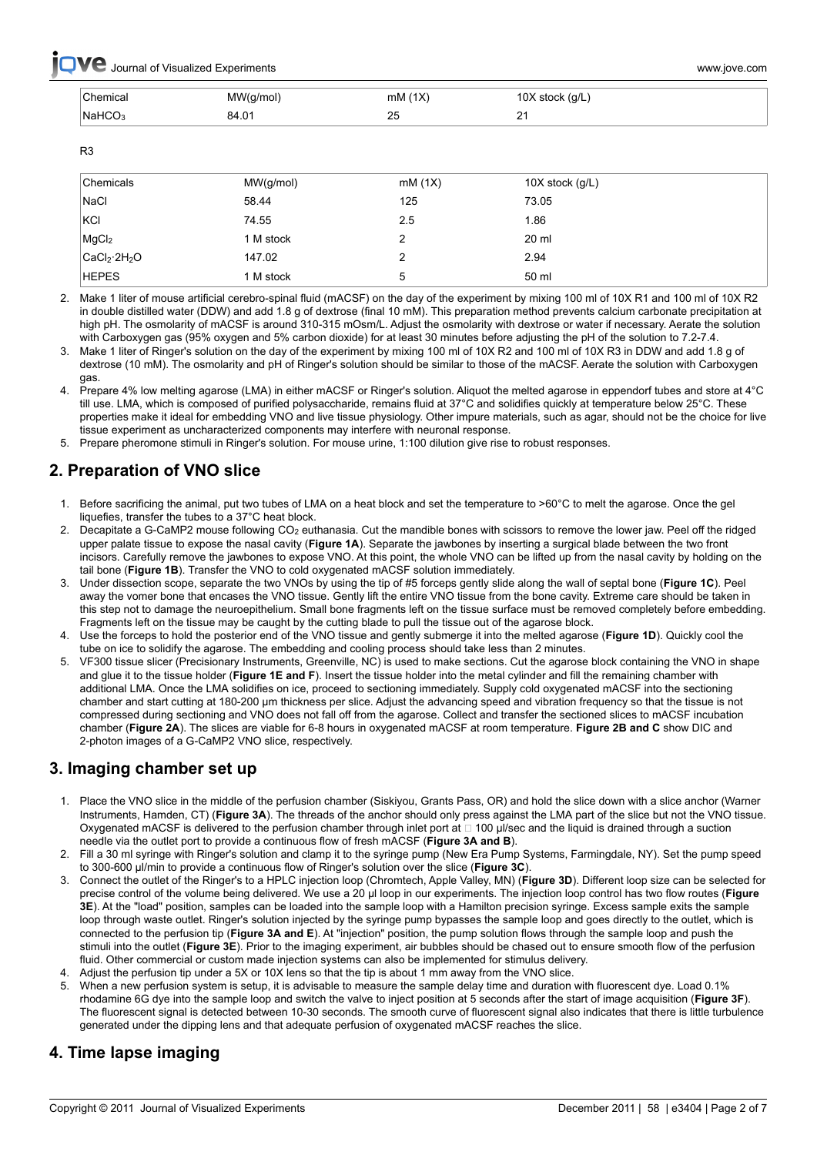**Ve** Journal of Visualized Experiments **and the set of the set of the set of the set of the set of the set of the set of the set of the set of the set of the set of the set of the set of the set of the set of the set of th** 

| Chemical           | MW(g/mol    | (1X)                | stock (q/L, |
|--------------------|-------------|---------------------|-------------|
| .                  | ៶ ວ         | mM                  | ៶ວ          |
| NaHCO <sub>3</sub> | $+01$<br>34 | つに<br>∠IJ<br>$\sim$ |             |

R3

| Chemicals                            | MW(g/mol) | mM(1X) | 10X stock $(g/L)$ |
|--------------------------------------|-----------|--------|-------------------|
| <b>NaCl</b>                          | 58.44     | 125    | 73.05             |
| KCI                                  | 74.55     | 2.5    | 1.86              |
| MgCl <sub>2</sub>                    | 1 M stock | າ      | 20 ml             |
| CaCl <sub>2</sub> ·2H <sub>2</sub> O | 147.02    | 2      | 2.94              |
| <b>HEPES</b>                         | 1 M stock | 5      | 50 ml             |

2. Make 1 liter of mouse artificial cerebro-spinal fluid (mACSF) on the day of the experiment by mixing 100 ml of 10X R1 and 100 ml of 10X R2 in double distilled water (DDW) and add 1.8 g of dextrose (final 10 mM). This preparation method prevents calcium carbonate precipitation at high pH. The osmolarity of mACSF is around 310-315 mOsm/L. Adjust the osmolarity with dextrose or water if necessary. Aerate the solution with Carboxygen gas (95% oxygen and 5% carbon dioxide) for at least 30 minutes before adjusting the pH of the solution to 7.2-7.4.

- 3. Make 1 liter of Ringer's solution on the day of the experiment by mixing 100 ml of 10X R2 and 100 ml of 10X R3 in DDW and add 1.8 g of dextrose (10 mM). The osmolarity and pH of Ringer's solution should be similar to those of the mACSF. Aerate the solution with Carboxygen gas.
- 4. Prepare 4% low melting agarose (LMA) in either mACSF or Ringer's solution. Aliquot the melted agarose in eppendorf tubes and store at 4°C till use. LMA, which is composed of purified polysaccharide, remains fluid at 37°C and solidifies quickly at temperature below 25°C. These properties make it ideal for embedding VNO and live tissue physiology. Other impure materials, such as agar, should not be the choice for live tissue experiment as uncharacterized components may interfere with neuronal response.

5. Prepare pheromone stimuli in Ringer's solution. For mouse urine, 1:100 dilution give rise to robust responses.

# **2. Preparation of VNO slice**

- 1. Before sacrificing the animal, put two tubes of LMA on a heat block and set the temperature to >60°C to melt the agarose. Once the gel liquefies, transfer the tubes to a 37°C heat block.
- 2. Decapitate a G-CaMP2 mouse following CO<sub>2</sub> euthanasia. Cut the mandible bones with scissors to remove the lower jaw. Peel off the ridged upper palate tissue to expose the nasal cavity (**Figure 1A**). Separate the jawbones by inserting a surgical blade between the two front incisors. Carefully remove the jawbones to expose VNO. At this point, the whole VNO can be lifted up from the nasal cavity by holding on the tail bone (**Figure 1B**). Transfer the VNO to cold oxygenated mACSF solution immediately.
- 3. Under dissection scope, separate the two VNOs by using the tip of #5 forceps gently slide along the wall of septal bone (**Figure 1C**). Peel away the vomer bone that encases the VNO tissue. Gently lift the entire VNO tissue from the bone cavity. Extreme care should be taken in this step not to damage the neuroepithelium. Small bone fragments left on the tissue surface must be removed completely before embedding. Fragments left on the tissue may be caught by the cutting blade to pull the tissue out of the agarose block.
- 4. Use the forceps to hold the posterior end of the VNO tissue and gently submerge it into the melted agarose (**Figure 1D**). Quickly cool the tube on ice to solidify the agarose. The embedding and cooling process should take less than 2 minutes.
- 5. VF300 tissue slicer (Precisionary Instruments, Greenville, NC) is used to make sections. Cut the agarose block containing the VNO in shape and glue it to the tissue holder (**Figure 1E and F**). Insert the tissue holder into the metal cylinder and fill the remaining chamber with additional LMA. Once the LMA solidifies on ice, proceed to sectioning immediately. Supply cold oxygenated mACSF into the sectioning chamber and start cutting at 180-200 μm thickness per slice. Adjust the advancing speed and vibration frequency so that the tissue is not compressed during sectioning and VNO does not fall off from the agarose. Collect and transfer the sectioned slices to mACSF incubation chamber (**Figure 2A**). The slices are viable for 6-8 hours in oxygenated mACSF at room temperature. **Figure 2B and C** show DIC and 2-photon images of a G-CaMP2 VNO slice, respectively.

# **3. Imaging chamber set up**

- 1. Place the VNO slice in the middle of the perfusion chamber (Siskiyou, Grants Pass, OR) and hold the slice down with a slice anchor (Warner Instruments, Hamden, CT) (**Figure 3A**). The threads of the anchor should only press against the LMA part of the slice but not the VNO tissue. Oxygenated mACSF is delivered to the perfusion chamber through inlet port at □ 100 μl/sec and the liquid is drained through a suction needle via the outlet port to provide a continuous flow of fresh mACSF (**Figure 3A and B**).
- 2. Fill a 30 ml syringe with Ringer's solution and clamp it to the syringe pump (New Era Pump Systems, Farmingdale, NY). Set the pump speed to 300-600 μl/min to provide a continuous flow of Ringer's solution over the slice (**Figure 3C**).
- 3. Connect the outlet of the Ringer's to a HPLC injection loop (Chromtech, Apple Valley, MN) (**Figure 3D**). Different loop size can be selected for precise control of the volume being delivered. We use a 20 μl loop in our experiments. The injection loop control has two flow routes (**Figure 3E**). At the "load" position, samples can be loaded into the sample loop with a Hamilton precision syringe. Excess sample exits the sample loop through waste outlet. Ringer's solution injected by the syringe pump bypasses the sample loop and goes directly to the outlet, which is connected to the perfusion tip (**Figure 3A and E**). At "injection" position, the pump solution flows through the sample loop and push the stimuli into the outlet (**Figure 3E**). Prior to the imaging experiment, air bubbles should be chased out to ensure smooth flow of the perfusion fluid. Other commercial or custom made injection systems can also be implemented for stimulus delivery.
- 4. Adjust the perfusion tip under a 5X or 10X lens so that the tip is about 1 mm away from the VNO slice.
- When a new perfusion system is setup, it is advisable to measure the sample delay time and duration with fluorescent dye. Load 0.1% rhodamine 6G dye into the sample loop and switch the valve to inject position at 5 seconds after the start of image acquisition (**Figure 3F**). The fluorescent signal is detected between 10-30 seconds. The smooth curve of fluorescent signal also indicates that there is little turbulence generated under the dipping lens and that adequate perfusion of oxygenated mACSF reaches the slice.

# **4. Time lapse imaging**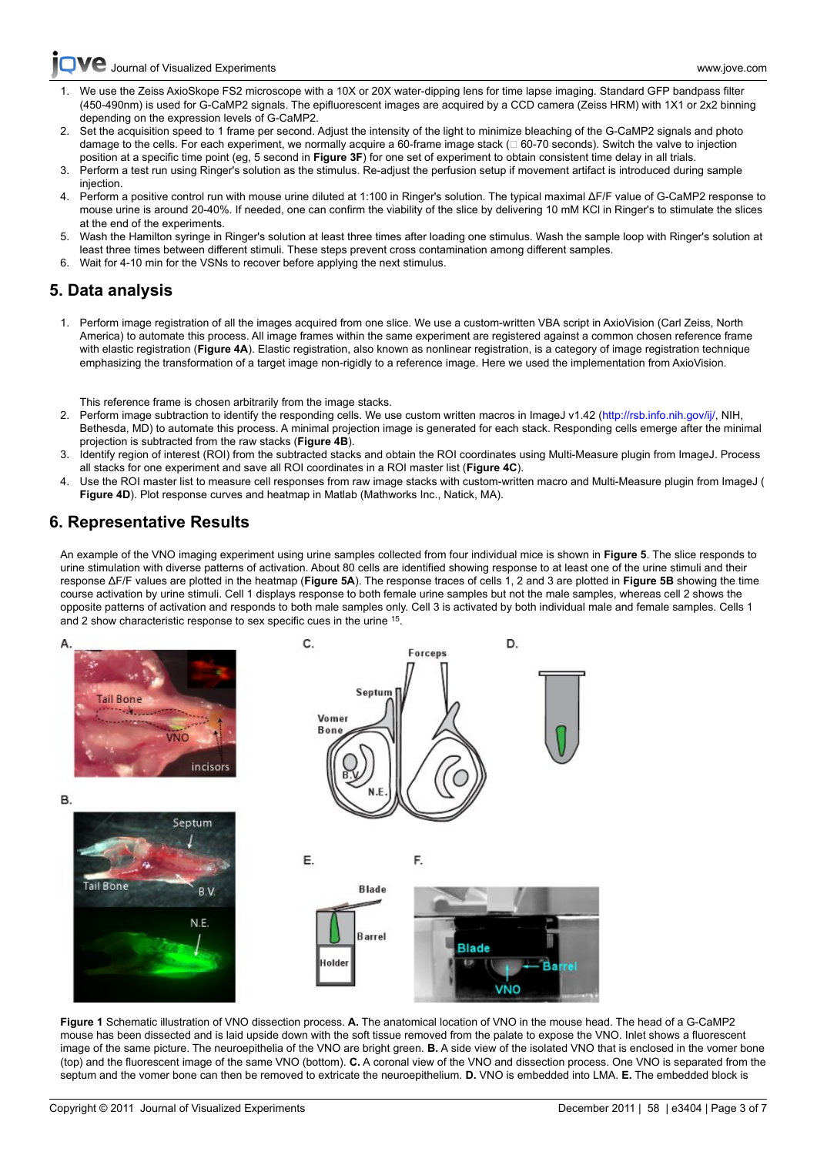[Journal of Visualized Experiments www.jove.com](http://www.jove.com)

- [1. We us](http://www.jove.com)e the Zeiss AxioSkope FS2 microscope with a 10X or 20X water-dipping lens for time lapse imaging. Standard GFP bandpass filter (450-490nm) is used for G-CaMP2 signals. The epifluorescent images are acquired by a CCD camera (Zeiss HRM) with 1X1 or 2x2 binning depending on the expression levels of G-CaMP2.
- 2. Set the acquisition speed to 1 frame per second. Adjust the intensity of the light to minimize bleaching of the G-CaMP2 signals and photo damage to the cells. For each experiment, we normally acquire a 60-frame image stack (□ 60-70 seconds). Switch the valve to injection position at a specific time point (eg, 5 second in **Figure 3F**) for one set of experiment to obtain consistent time delay in all trials.
- 3. Perform a test run using Ringer's solution as the stimulus. Re-adjust the perfusion setup if movement artifact is introduced during sample injection.
- 4. Perform a positive control run with mouse urine diluted at 1:100 in Ringer's solution. The typical maximal ΔF/F value of G-CaMP2 response to mouse urine is around 20-40%. If needed, one can confirm the viability of the slice by delivering 10 mM KCl in Ringer's to stimulate the slices at the end of the experiments.
- 5. Wash the Hamilton syringe in Ringer's solution at least three times after loading one stimulus. Wash the sample loop with Ringer's solution at least three times between different stimuli. These steps prevent cross contamination among different samples.
- 6. Wait for 4-10 min for the VSNs to recover before applying the next stimulus.

## **5. Data analysis**

1. Perform image registration of all the images acquired from one slice. We use a custom-written VBA script in AxioVision (Carl Zeiss, North America) to automate this process. All image frames within the same experiment are registered against a common chosen reference frame with elastic registration (**Figure 4A**). Elastic registration, also known as nonlinear registration, is a category of image registration technique emphasizing the transformation of a target image non-rigidly to a reference image. Here we used the implementation from AxioVision.

This reference frame is chosen arbitrarily from the image stacks.

- 2.Perform image subtraction to identify the responding cells. We use custom written macros in ImageJ v1.42 (<http://rsb.info.nih.gov/ij/>, NIH, Bethesda, MD) to automate this process. A minimal projection image is generated for each stack. Responding cells emerge after the minimal projection is subtracted from the raw stacks (**Figure 4B**).
- 3. Identify region of interest (ROI) from the subtracted stacks and obtain the ROI coordinates using Multi-Measure plugin from ImageJ. Process all stacks for one experiment and save all ROI coordinates in a ROI master list (**Figure 4C**).
- 4. Use the ROI master list to measure cell responses from raw image stacks with custom-written macro and Multi-Measure plugin from ImageJ ( Figure 4D). Plot response curves and heatmap in Matlab (Mathworks Inc., Natick, MA).

## **6. Representative Results**

An example of the VNO imaging experiment using urine samples collected from four individual mice is shown in **Figure 5**. The slice responds to urine stimulation with diverse patterns of activation. About 80 cells are identified showing response to at least one of the urine stimuli and their response ΔF/F values are plotted in the heatmap (**Figure 5A**). The response traces of cells 1, 2 and 3 are plotted in **Figure 5B** showing the time course activation by urine stimuli. Cell 1 displays response to both female urine samples but not the male samples, whereas cell 2 shows the opposite patterns of activation and responds to both male samples only. Cell 3 is activated by both individual male and female samples. Cells 1 and 2 show characteristic response to sex specific cues in the urine <sup>15</sup>.



**Figure 1** Schematic illustration of VNO dissection process. **A.** The anatomical location of VNO in the mouse head. The head of a G-CaMP2 mouse has been dissected and is laid upside down with the soft tissue removed from the palate to expose the VNO. Inlet shows a fluorescent image of the same picture. The neuroepithelia of the VNO are bright green. **B.** A side view of the isolated VNO that is enclosed in the vomer bone (top) and the fluorescent image of the same VNO (bottom). **C.** A coronal view of the VNO and dissection process. One VNO is separated from the septum and the vomer bone can then be removed to extricate the neuroepithelium. **D.** VNO is embedded into LMA. **E.** The embedded block is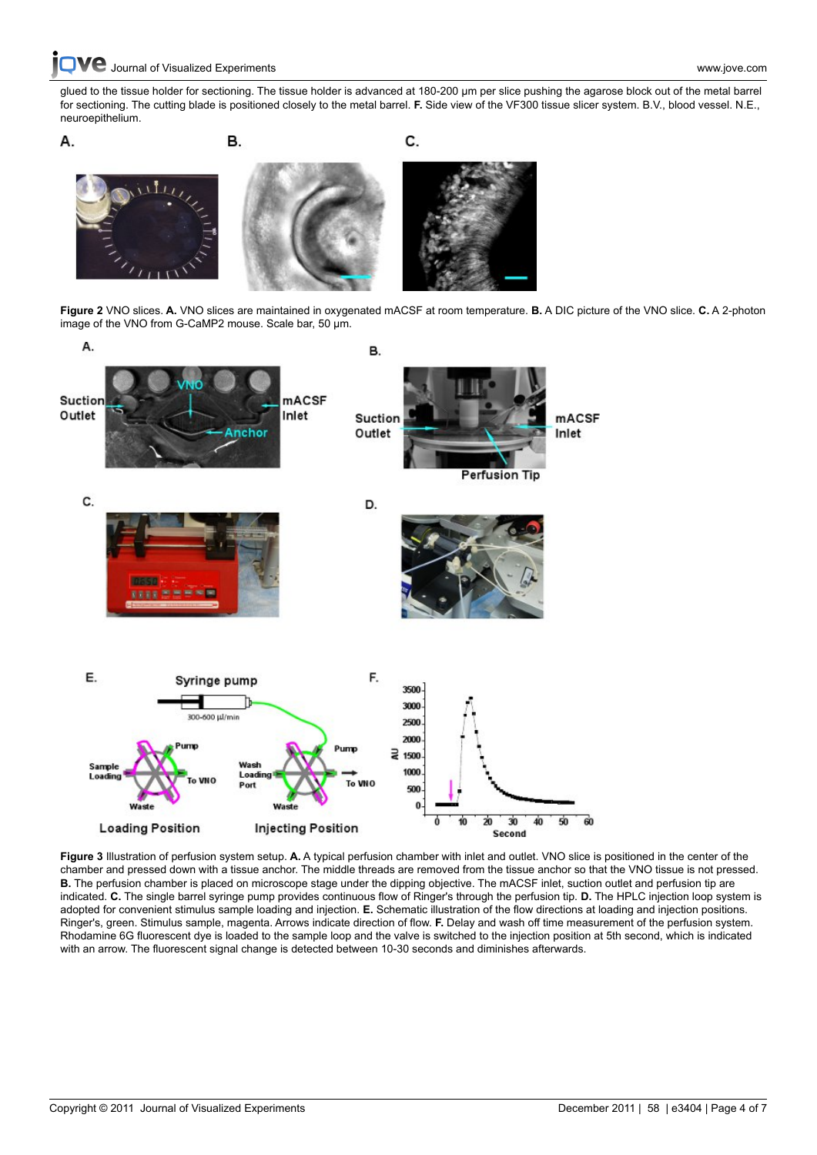**C** [Journal of Visualized Experiments www.jove.com](http://www.jove.com)

[glued to th](http://www.jove.com)e tissue holder for sectioning. The tissue holder is advanced at 180-200 μm per slice pushing the agarose block out of the metal barrel for sectioning. The cutting blade is positioned closely to the metal barrel. **F.** Side view of the VF300 tissue slicer system. B.V., blood vessel. N.E., neuroepithelium.



**Figure 2** VNO slices. **A.** VNO slices are maintained in oxygenated mACSF at room temperature. **B.** A DIC picture of the VNO slice. **C.** A 2-photon image of the VNO from G-CaMP2 mouse. Scale bar, 50 μm.



**Figure 3** Illustration of perfusion system setup. **A.** A typical perfusion chamber with inlet and outlet. VNO slice is positioned in the center of the chamber and pressed down with a tissue anchor. The middle threads are removed from the tissue anchor so that the VNO tissue is not pressed. **B.** The perfusion chamber is placed on microscope stage under the dipping objective. The mACSF inlet, suction outlet and perfusion tip are indicated. **C.** The single barrel syringe pump provides continuous flow of Ringer's through the perfusion tip. **D.** The HPLC injection loop system is adopted for convenient stimulus sample loading and injection. **E.** Schematic illustration of the flow directions at loading and injection positions. Ringer's, green. Stimulus sample, magenta. Arrows indicate direction of flow. **F.** Delay and wash off time measurement of the perfusion system. Rhodamine 6G fluorescent dye is loaded to the sample loop and the valve is switched to the injection position at 5th second, which is indicated with an arrow. The fluorescent signal change is detected between 10-30 seconds and diminishes afterwards.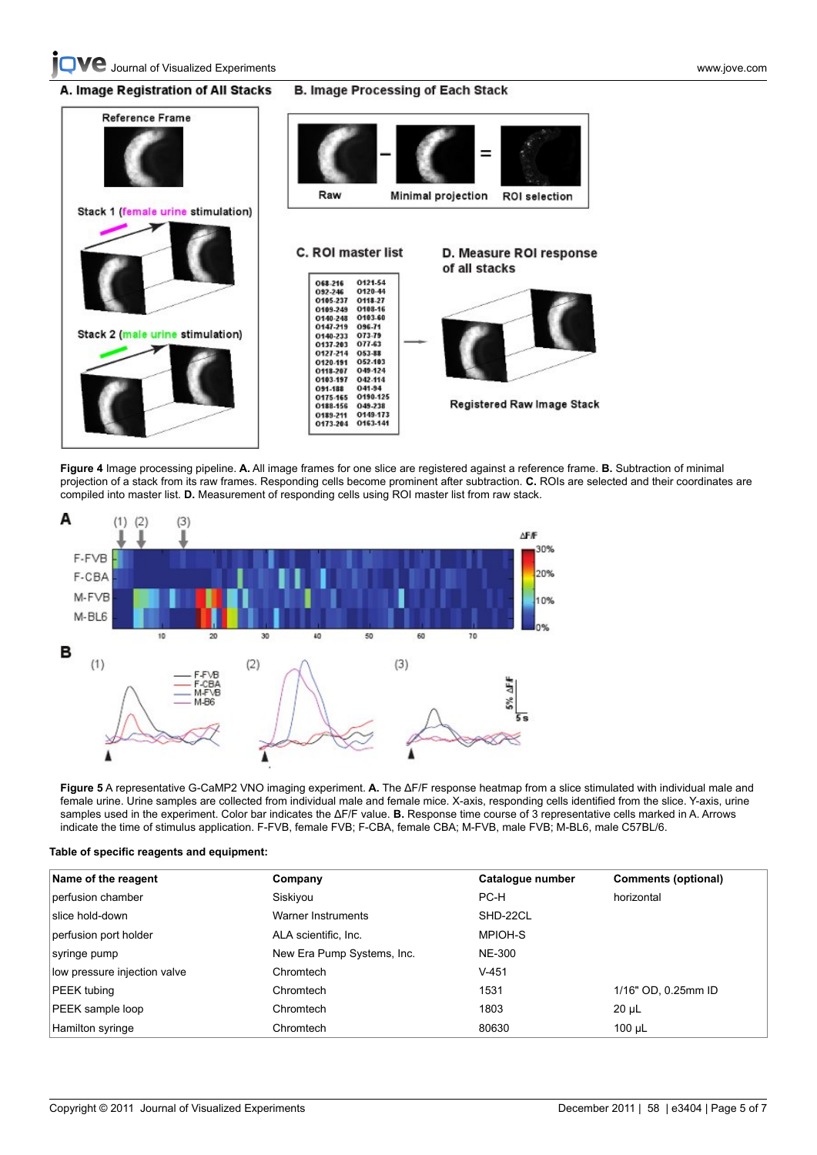#### A. Image Registration of All Stacks **B. Image Processing of Each Stack**



**Figure 4** Image processing pipeline. **A.** All image frames for one slice are registered against a reference frame. **B.** Subtraction of minimal projection of a stack from its raw frames. Responding cells become prominent after subtraction. **C.** ROIs are selected and their coordinates are compiled into master list. **D.** Measurement of responding cells using ROI master list from raw stack.



**Figure 5** A representative G-CaMP2 VNO imaging experiment. **A.** The ΔF/F response heatmap from a slice stimulated with individual male and female urine. Urine samples are collected from individual male and female mice. X-axis, responding cells identified from the slice. Y-axis, urine samples used in the experiment. Color bar indicates the ΔF/F value. **B.** Response time course of 3 representative cells marked in A. Arrows indicate the time of stimulus application. F-FVB, female FVB; F-CBA, female CBA; M-FVB, male FVB; M-BL6, male C57BL/6.

|  | Table of specific reagents and equipment: |  |  |
|--|-------------------------------------------|--|--|
|  |                                           |  |  |

| Name of the reagent          | Company                    | Catalogue number | <b>Comments (optional)</b> |
|------------------------------|----------------------------|------------------|----------------------------|
| perfusion chamber            | Siskiyou                   | PC-H             | horizontal                 |
| slice hold-down              | Warner Instruments         | SHD-22CL         |                            |
| perfusion port holder        | ALA scientific, Inc.       | MPIOH-S          |                            |
| syringe pump                 | New Era Pump Systems, Inc. | <b>NE-300</b>    |                            |
| low pressure injection valve | Chromtech                  | $V-451$          |                            |
| PEEK tubing                  | Chromtech                  | 1531             | 1/16" OD, 0.25mm ID        |
| PEEK sample loop             | Chromtech                  | 1803             | $20 \mu L$                 |
| Hamilton syringe             | Chromtech                  | 80630            | 100 µL                     |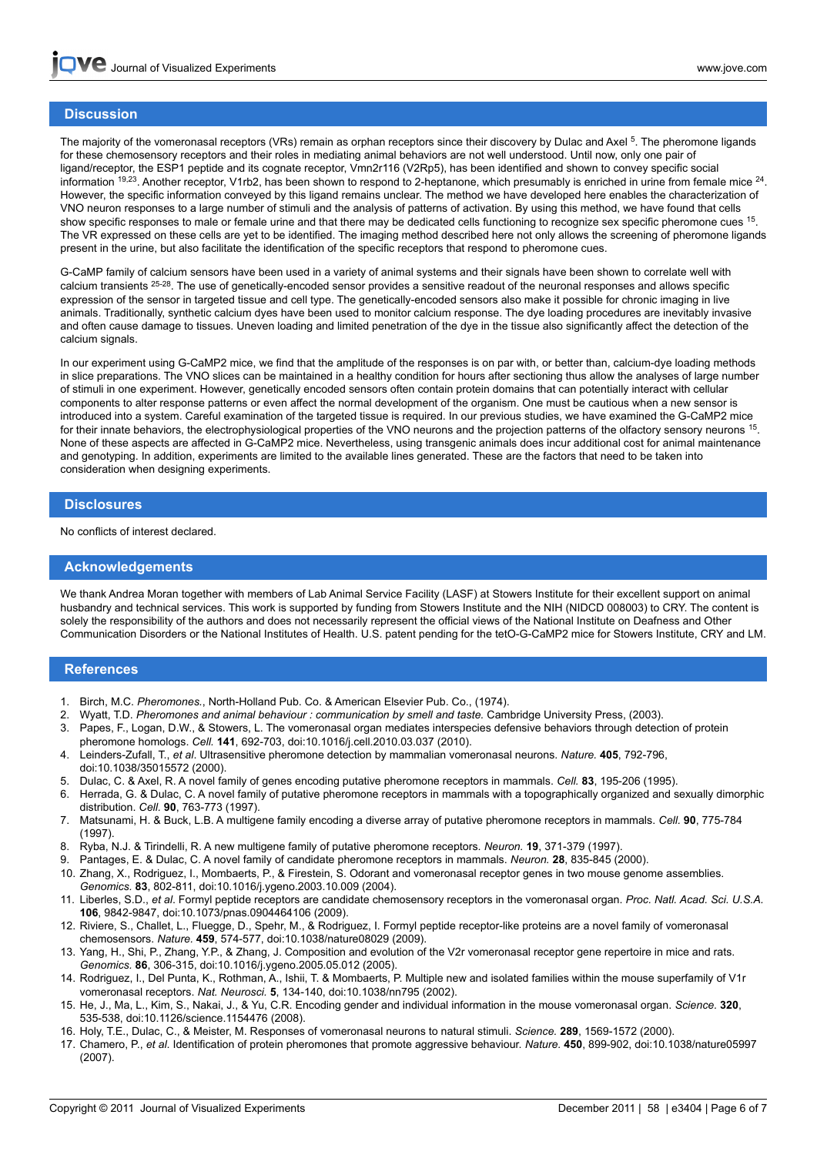## **[Discus](http://www.jove.com)sion**

The majority of the vomeronasal receptors (VRs) remain as orphan receptors since their discovery by Dulac and Axel <sup>5</sup>. The pheromone ligands for these chemosensory receptors and their roles in mediating animal behaviors are not well understood. Until now, only one pair of ligand/receptor, the ESP1 peptide and its cognate receptor, Vmn2r116 (V2Rp5), has been identified and shown to convey specific social information <sup>19,23</sup>. Another receptor, V1rb2, has been shown to respond to 2-heptanone, which presumably is enriched in urine from female mice <sup>24</sup>. However, the specific information conveyed by this ligand remains unclear. The method we have developed here enables the characterization of VNO neuron responses to a large number of stimuli and the analysis of patterns of activation. By using this method, we have found that cells show specific responses to male or female urine and that there may be dedicated cells functioning to recognize sex specific pheromone cues <sup>15</sup>. The VR expressed on these cells are yet to be identified. The imaging method described here not only allows the screening of pheromone ligands present in the urine, but also facilitate the identification of the specific receptors that respond to pheromone cues.

G-CaMP family of calcium sensors have been used in a variety of animal systems and their signals have been shown to correlate well with calcium transients <sup>25-28</sup>. The use of genetically-encoded sensor provides a sensitive readout of the neuronal responses and allows specific expression of the sensor in targeted tissue and cell type. The genetically-encoded sensors also make it possible for chronic imaging in live animals. Traditionally, synthetic calcium dyes have been used to monitor calcium response. The dye loading procedures are inevitably invasive and often cause damage to tissues. Uneven loading and limited penetration of the dye in the tissue also significantly affect the detection of the calcium signals.

In our experiment using G-CaMP2 mice, we find that the amplitude of the responses is on par with, or better than, calcium-dye loading methods in slice preparations. The VNO slices can be maintained in a healthy condition for hours after sectioning thus allow the analyses of large number of stimuli in one experiment. However, genetically encoded sensors often contain protein domains that can potentially interact with cellular components to alter response patterns or even affect the normal development of the organism. One must be cautious when a new sensor is introduced into a system. Careful examination of the targeted tissue is required. In our previous studies, we have examined the G-CaMP2 mice for their innate behaviors, the electrophysiological properties of the VNO neurons and the projection patterns of the olfactory sensory neurons <sup>15</sup>. None of these aspects are affected in G-CaMP2 mice. Nevertheless, using transgenic animals does incur additional cost for animal maintenance and genotyping. In addition, experiments are limited to the available lines generated. These are the factors that need to be taken into consideration when designing experiments.

#### **Disclosures**

No conflicts of interest declared.

#### **Acknowledgements**

We thank Andrea Moran together with members of Lab Animal Service Facility (LASF) at Stowers Institute for their excellent support on animal husbandry and technical services. This work is supported by funding from Stowers Institute and the NIH (NIDCD 008003) to CRY. The content is solely the responsibility of the authors and does not necessarily represent the official views of the National Institute on Deafness and Other Communication Disorders or the National Institutes of Health. U.S. patent pending for the tetO-G-CaMP2 mice for Stowers Institute, CRY and LM.

## **References**

- 1. Birch, M.C. *Pheromones.*, North-Holland Pub. Co. & American Elsevier Pub. Co., (1974).
- 2. Wyatt, T.D. *Pheromones and animal behaviour : communication by smell and taste.* Cambridge University Press, (2003).
- 3. Papes, F., Logan, D.W., & Stowers, L. The vomeronasal organ mediates interspecies defensive behaviors through detection of protein pheromone homologs. *Cell.* **141**, 692-703, doi:10.1016/j.cell.2010.03.037 (2010).
- 4. Leinders-Zufall, T., *et al*. Ultrasensitive pheromone detection by mammalian vomeronasal neurons. *Nature.* **405**, 792-796, doi:10.1038/35015572 (2000).
- 5. Dulac, C. & Axel, R. A novel family of genes encoding putative pheromone receptors in mammals. *Cell.* **83**, 195-206 (1995).
- 6. Herrada, G. & Dulac, C. A novel family of putative pheromone receptors in mammals with a topographically organized and sexually dimorphic distribution. *Cell.* **90**, 763-773 (1997).
- 7. Matsunami, H. & Buck, L.B. A multigene family encoding a diverse array of putative pheromone receptors in mammals. *Cell.* **90**, 775-784 (1997).
- 8. Ryba, N.J. & Tirindelli, R. A new multigene family of putative pheromone receptors. *Neuron.* **19**, 371-379 (1997).
- 9. Pantages, E. & Dulac, C. A novel family of candidate pheromone receptors in mammals. *Neuron.* **28**, 835-845 (2000).
- 10. Zhang, X., Rodriguez, I., Mombaerts, P., & Firestein, S. Odorant and vomeronasal receptor genes in two mouse genome assemblies. *Genomics.* **83**, 802-811, doi:10.1016/j.ygeno.2003.10.009 (2004).
- 11. Liberles, S.D., *et al*. Formyl peptide receptors are candidate chemosensory receptors in the vomeronasal organ. *Proc. Natl. Acad. Sci. U.S.A.* **106**, 9842-9847, doi:10.1073/pnas.0904464106 (2009).
- 12. Riviere, S., Challet, L., Fluegge, D., Spehr, M., & Rodriguez, I. Formyl peptide receptor-like proteins are a novel family of vomeronasal chemosensors. *Nature.* **459**, 574-577, doi:10.1038/nature08029 (2009).
- 13. Yang, H., Shi, P., Zhang, Y.P., & Zhang, J. Composition and evolution of the V2r vomeronasal receptor gene repertoire in mice and rats. *Genomics.* **86**, 306-315, doi:10.1016/j.ygeno.2005.05.012 (2005).
- 14. Rodriguez, I., Del Punta, K., Rothman, A., Ishii, T. & Mombaerts, P. Multiple new and isolated families within the mouse superfamily of V1r vomeronasal receptors. *Nat. Neurosci.* **5**, 134-140, doi:10.1038/nn795 (2002).
- 15. He, J., Ma, L., Kim, S., Nakai, J., & Yu, C.R. Encoding gender and individual information in the mouse vomeronasal organ. *Science.* **320**, 535-538, doi:10.1126/science.1154476 (2008).
- 16. Holy, T.E., Dulac, C., & Meister, M. Responses of vomeronasal neurons to natural stimuli. *Science.* **289**, 1569-1572 (2000).
- 17. Chamero, P., *et al*. Identification of protein pheromones that promote aggressive behaviour. *Nature.* **450**, 899-902, doi:10.1038/nature05997 (2007).